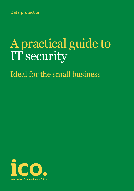Data protection

# A practical guide to IT security

Ideal for the small business

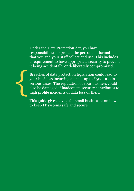Under the Data Protection Act, you have responsibilities to protect the personal information that you and your staff collect and use. This includes a requirement to have appropriate security to prevent it being accidentally or deliberately compromised.



Breaches of data protection legislation could lead to your business incurring a fine – up to  $£500,000$  in serious cases. The reputation of your business could also be damaged if inadequate security contributes to high profile incidents of data loss or theft.

This guide gives advice for small businesses on how to keep IT systems safe and secure.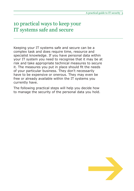### 10 practical ways to keep your IT systems safe and secure

Keeping your IT systems safe and secure can be a complex task and does require time, resource and specialist knowledge. If you have personal data within your IT system you need to recognise that it may be at risk and take appropriate technical measures to secure it. The measures you put in place should fit the needs of your particular business. They don't necessarily have to be expensive or onerous. They may even be free or already available within the IT systems you currently have.

The following practical steps will help you decide how to manage the security of the personal data you hold.

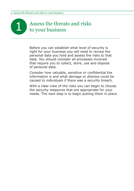## Assess the threats and risks<br>to your business

Before you can establish what level of security is right for your business you will need to review the personal data you hold and assess the risks to that data. You should consider all processes involved that require you to collect, store, use and dispose of personal data.

Consider how valuable, sensitive or confidential the information is and what damage or distress could be caused to individuals if there was a security breach.

With a clear view of the risks you can begin to choose the security measures that are appropriate for your needs. The next step is to begin putting them in place.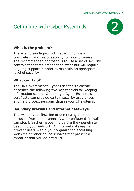## Get in line with Cyber Essentials 2



#### **What is the problem?**

There is no single product that will provide a complete guarantee of security for your business. The recommended approach is to use a set of security controls that complement each other but will require ongoing support in order to maintain an appropriate level of security.

#### **What can I do?**

The UK Government's Cyber Essentials Scheme describes the following five key controls for keeping information secure. Obtaining a Cyber Essentials certificate can provide certain security assurances and help protect personal data in your IT systems.

#### **Boundary firewalls and internet gateways**

This will be your first line of defence against an intrusion from the internet. A well configured firewall can stop breaches happening before they penetrate deep into your network. An internet gateway can prevent users within your organisation accessing websites or other online services that present a threat or that you do not trust.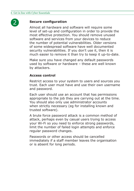

#### **Secure configuration**

Almost all hardware and software will require some level of set-up and configuration in order to provide the most effective protection. You should remove unused software and services from your devices to reduce the number of potential vulnerabilities. Older versions of some widespread software have well documented security vulnerabilities. If you don't use it, then it is much easier to remove it than try to keep it up-to-date.

Make sure you have changed any default passwords used by software or hardware – these are well known by attackers.

#### **Access control**

Restrict access to your system to users and sources you trust. Each user must have and use their own username and password.

Each user should use an account that has permissions appropriate to the job they are carrying out at the time. You should also only use administrator accounts when strictly necessary (eg for installing known and trusted software).

A brute force password attack is a common method of attack, perhaps even by casual users trying to access your Wi-Fi so you need to enforce strong passwords, limit the number of failed login attempts and enforce regular password changes.

Passwords or other access should be cancelled immediately if a staff member leaves the organisation or is absent for long periods.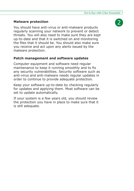#### **Malware protection**

You should have anti-virus or anti-malware products regularly scanning your network to prevent or detect threats. You will also need to make sure they are kept up-to-date and that it is switched on and monitoring the files that it should be. You should also make sure you receive and act upon any alerts issued by the malware protection.

#### **Patch management and software updates**

Computer equipment and software need regular maintenance to keep it running smoothly and to fix any security vulnerabilities. Security software such as anti-virus and anti-malware needs regular updates in order to continue to provide adequate protection.

Keep your software up-to-date by checking regularly for updates and applying them. Most software can be set to update automatically.

If your system is a few years old, you should review the protection you have in place to make sure that it is still adequate.

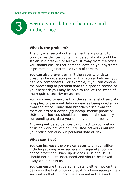## Secure your data on the move and<br>in the office

#### **What is the problem?**

The physical security of equipment is important to consider as devices containing personal data could be stolen in a break-in or lost whilst away from the office. You should ensure that personal data on your systems is protected against these types of threats.

You can also prevent or limit the severity of data breaches by separating or limiting access between your network components. For example, if you can confine the processing of personal data to a specific section of your network you may be able to reduce the scope of the required security measures.

You also need to ensure that the same level of security is applied to personal data on devices being used away from the office. Many data breaches arise from the theft or loss of a device (eg laptop, mobile phone or USB drive) but you should also consider the security surrounding any data you send by email or post.

Allowing untrusted devices to connect to your network or using work devices on untrusted networks outside your office can also put personal data at risk.

#### **What can I do?**

You can increase the physical security of your office including storing your servers in a separate room with added protection. Back-up devices, CDs and USBs should not be left unattended and should be locked away when not in use.

You can ensure that personal data is either not on the device in the first place or that it has been appropriately secured so that it cannot be accessed in the event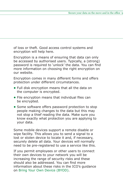of loss or theft. Good access control systems and encryption will help here.

Encryption is a means of ensuring that data can only be accessed by authorised users. Typically, a (strong) password is required to 'unlock' the data. You can find more information on choosing the right encryption on our website.

Encryption comes in many different forms and offers protection under different circumstances.

- **•** Full disk encryption means that all the data on the computer is encrypted.
- **•** File encryption means that individual files can be encrypted.
- **•** Some software offers password protection to stop people making changes to the data but this may not stop a thief reading the data. Make sure you know exactly what protection you are applying to your data.

Some mobile devices support a remote disable or wipe facility. This allows you to send a signal to a lost or stolen device to locate it and, if necessary, securely delete all data. Your devices will normally need to be pre-registered to use a service like this.

If you permit employees or other users to connect their own devices to your network you will be increasing the range of security risks and these should also be addressed. You can find more information about these risks in the ICO's guidance on Bring Your Own Device (BYOD).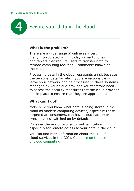

#### **What is the problem?**

There are a wide range of online services, many incorporated within today's smartphones and tablets that require users to transfer data to remote computing facilities – commonly known as the cloud.

Processing data in the cloud represents a risk because the personal data for which you are responsible will leave your network and be processed in those systems managed by your cloud provider. You therefore need to assess the security measures that the cloud provider has in place to ensure that they are appropriate.

#### **What can I do?**

Make sure you know what data is being stored in the cloud as modern computing devices, especially those targeted at consumers, can have cloud backup or sync services switched on by default.

Consider the use of two factor authentication especially for remote access to your data in the cloud.

You can find more information about the use of cloud services in the ICO's Guidance on the use of cloud computing.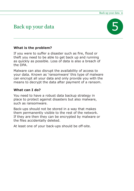## Back up your data 5



#### **What is the problem?**

If you were to suffer a disaster such as fire, flood or theft you need to be able to get back up and running as quickly as possible. Loss of data is also a breach of the DPA.

Malware can also disrupt the availability of access to your data. Known as 'ransomware' this type of malware can encrypt all your data and only provide you with the means to decrypt the data after payment of a ransom.

#### **What can I do?**

You need to have a robust data backup strategy in place to protect against disasters but also malware, such as ransomware.

Back-ups should not be stored in a way that makes them permanently visible to the rest of the network. If they are then they can be encrypted by malware or the files accidentally deleted.

At least one of your back-ups should be off-site.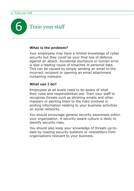

#### **What is the problem?**

Your employees may have a limited knowledge of cyber security but they could be your final line of defence against an attack. Accidental disclosure or human error is also a leading cause of breaches of personal data. This can be caused by simply sending an email to the incorrect recipient or opening an email attachment containing malware.

#### **What can I do?**

Employees at all levels need to be aware of what their roles and responsibilities are. Train your staff to recognise threats such as phishing emails and other malware or alerting them to the risks involved in posting information relating to your business activities on social networks.

You should encourage general security awareness within your organisation. A security aware culture is likely to identify security risks.

You should also keep your knowledge of threats up-todate by reading security bulletins or newsletters from organisations relevant to your business.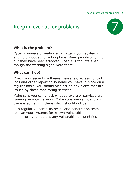## Keep an eye out for problems



#### **What is the problem?**

Cyber criminals or malware can attack your systems and go unnoticed for a long time. Many people only find out they have been attacked when it is too late even though the warning signs were there.

#### **What can I do?**

Check your security software messages, access control logs and other reporting systems you have in place on a regular basis. You should also act on any alerts that are issued by these monitoring services.

Make sure you can check what software or services are running on your network. Make sure you can identify if there is something there which should not be.

Run regular vulnerability scans and penetration tests to scan your systems for known vulnerabilities – make sure you address any vulnerabilities identified.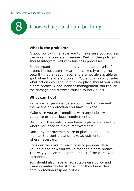

#### **What is the problem?**

A good policy will enable you to make sure you address the risks in a consistent manner. Well written policies should integrate well with business processes.

Some organisations do not have adequate levels of protection because they are not correctly using the security they already have, and are not always able to spot when there is a problem. You should also consider what actions you should put into place should you suffer a data breach. Good incident management can reduce the damage and distress caused to individuals.

#### **What can I do?**

Review what personal data you currently have and the means of protection you have in place.

Make sure you are compliant with any industry guidance or other legal requirements.

Document the controls you have in place and identify where you need to make improvements.

Once any improvements are in place, continue to monitor the controls and make adjustments where necessary.

Consider the risks for each type of personal data you hold and how you would manage a data breach. This way you can reduce the impact if the worst was to happen.

You should also have an acceptable-use policy and training materials for staff so that they know their data protection responsibilities.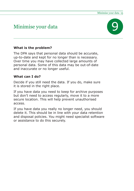## Minimise your data 9



#### **What is the problem?**

The DPA says that personal data should be accurate, up-to-date and kept for no longer than is necessary. Over time you may have collected large amounts of personal data. Some of this data may be out-of-date and inaccurate or no longer useful.

#### **What can I do?**

Decide if you still need the data. If you do, make sure it is stored in the right place.

If you have data you need to keep for archive purposes but don't need to access regularly, move it to a more secure location. This will help prevent unauthorised access.

If you have data you really no longer need, you should delete it. This should be in line with your data retention and disposal policies. You might need specialist software or assistance to do this securely.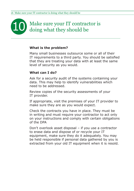# Make sure your IT contractor is<br>doing what they should be

#### **What is the problem?**

Many small businesses outsource some or all of their IT requirements to a third party. You should be satisfied that they are treating your data with at least the same level of security as you would.

#### **What can I do?**

Ask for a security audit of the systems containing your data. This may help to identify vulnerabilities which need to be addressed.

Review copies of the security assessments of your IT provider.

If appropriate, visit the premises of your IT provider to make sure they are as you would expect.

Check the contracts you have in place. They must be in writing and must require your contractor to act only on your instructions and comply with certain obligations of the DPA

Don't overlook asset disposal – if you use a contractor to erase data and dispose of or recycle your IT equipment, make sure they do it adequately. You may be held responsible if personal data gathered by you is extracted from your old IT equipment when it is resold.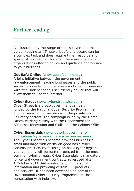### Further reading

As illustrated by the range of topics covered in this guide, keeping an IT network safe and secure can be a complex task and does require time, resource and specialist knowledge. However, there are a range of organisations offering advice and guidance appropriate to your business.

#### **Get Safe Online** (www.getsafeonline.org)

A joint initiative between the government, law enforcement, leading businesses and the public sector to provide computer users and small businesses with free, independent, user-friendly advice that will allow them to use the internet

#### **Cyber Street** (www.cyberstreetwise.com)

Cyber Street is a cross-government campaign, funded by the National Cyber Security Programme, and delivered in partnership with the private and voluntary sectors. The campaign is led by the Home Office, working closely with the Department for Business, Innovation and Skills and the Cabinet Office.

#### **Cyber Essentials** (www.gov.uk/government/ publications/cyber-essentials-scheme-overview)

The Cyber Essentials scheme provides businesses small and large with clarity on good basic cyber security practice. By focusing on basic cyber hygiene, your company will be better protected from the most common cyber threats. Cyber Essentials is mandatory for central government contracts advertised after 1 October 2014 that involve handling personal information and providing certain ICT products and services. It has been developed as part of the UK's National Cyber Security Programme in close consultation with industry.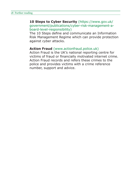#### **10 Steps to Cyber Security** (https://www.gov.uk/ government/publications/cyber-risk-management-aboard-level-responsibility)

The 10 Steps define and communicate an Information Risk Management Regime which can provide protection against cyber attacks.

#### **Action Fraud** (www.actionfraud.police.uk)

Action Fraud is the UK's national reporting centre for victims of fraud or financially motivated internet crime. Action Fraud records and refers these crimes to the police and provides victims with a crime reference number, support and advice.